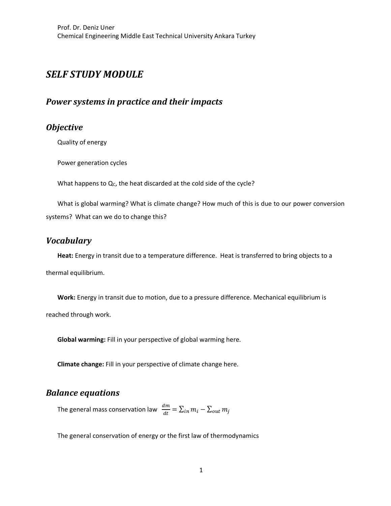# *SELF STUDY MODULE*

### **Power systems in practice and their impacts**

### *Objective*

Quality of energy

Power generation cycles

What happens to  $Q_C$ , the heat discarded at the cold side of the cycle?

What is global warming? What is climate change? How much of this is due to our power conversion systems? What can we do to change this?

### *Vocabulary*

**Heat:** Energy in transit due to a temperature difference. Heat is transferred to bring objects to a thermal equilibrium.

**Work:** Energy in transit due to motion, due to a pressure difference. Mechanical equilibrium is reached through work.

**Global warming:** Fill in your perspective of global warming here.

**Climate change:** Fill in your perspective of climate change here.

#### *Balance equations*

The general mass conservation law  $\;\frac{dm}{dt}=\sum_{in}m_i-\sum_{out}m_j$ 

The general conservation of energy or the first law of thermodynamics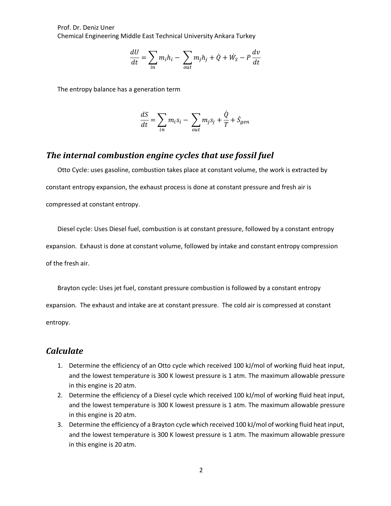Prof. Dr. Deniz Uner Chemical Engineering Middle East Technical University Ankara Turkey

$$
\frac{dU}{dt} = \sum_{in} m_i h_i - \sum_{out} m_j h_j + \dot{Q} + \dot{W}_S - P\frac{dv}{dt}
$$

The entropy balance has a generation term

$$
\frac{dS}{dt} = \sum_{in} m_i s_i - \sum_{out} m_j s_j + \frac{\dot{Q}}{T} + \dot{S}_{gen}
$$

#### **The internal combustion engine cycles that use fossil fuel**

Otto Cycle: uses gasoline, combustion takes place at constant volume, the work is extracted by constant entropy expansion, the exhaust process is done at constant pressure and fresh air is compressed at constant entropy.

Diesel cycle: Uses Diesel fuel, combustion is at constant pressure, followed by a constant entropy expansion. Exhaust is done at constant volume, followed by intake and constant entropy compression of the fresh air.

Brayton cycle: Uses jet fuel, constant pressure combustion is followed by a constant entropy expansion. The exhaust and intake are at constant pressure. The cold air is compressed at constant entropy.

#### *Calculate*

- 1. Determine the efficiency of an Otto cycle which received 100 kJ/mol of working fluid heat input, and the lowest temperature is 300 K lowest pressure is 1 atm. The maximum allowable pressure in this engine is 20 atm.
- 2. Determine the efficiency of a Diesel cycle which received 100 kJ/mol of working fluid heat input, and the lowest temperature is 300 K lowest pressure is 1 atm. The maximum allowable pressure in this engine is 20 atm.
- 3. Determine the efficiency of a Brayton cycle which received 100 kJ/mol of working fluid heat input, and the lowest temperature is 300 K lowest pressure is 1 atm. The maximum allowable pressure in this engine is 20 atm.